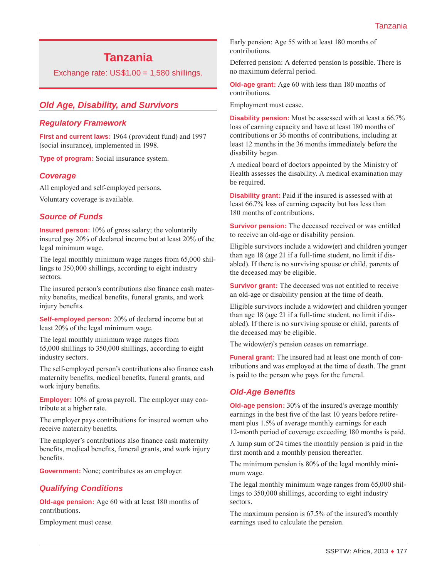# **Tanzania**

Exchange rate:  $US$1.00 = 1,580$  shillings.

# *Old Age, Disability, and Survivors*

### *Regulatory Framework*

**First and current laws:** 1964 (provident fund) and 1997 (social insurance), implemented in 1998.

**Type of program:** Social insurance system.

#### *Coverage*

All employed and self-employed persons. Voluntary coverage is available.

## *Source of Funds*

**Insured person:** 10% of gross salary; the voluntarily insured pay 20% of declared income but at least 20% of the legal minimum wage.

The legal monthly minimum wage ranges from 65,000 shillings to 350,000 shillings, according to eight industry sectors.

The insured person's contributions also finance cash maternity benefits, medical benefits, funeral grants, and work injury benefits.

**Self-employed person:** 20% of declared income but at least 20% of the legal minimum wage.

The legal monthly minimum wage ranges from 65,000 shillings to 350,000 shillings, according to eight industry sectors.

The self-employed person's contributions also finance cash maternity benefits, medical benefits, funeral grants, and work injury benefits.

**Employer:** 10% of gross payroll. The employer may contribute at a higher rate.

The employer pays contributions for insured women who receive maternity benefits.

The employer's contributions also finance cash maternity benefits, medical benefits, funeral grants, and work injury benefits.

**Government:** None; contributes as an employer.

#### *Qualifying Conditions*

**Old-age pension:** Age 60 with at least 180 months of contributions.

Employment must cease.

Early pension: Age 55 with at least 180 months of contributions.

Deferred pension: A deferred pension is possible. There is no maximum deferral period.

**Old-age grant:** Age 60 with less than 180 months of contributions.

Employment must cease.

**Disability pension:** Must be assessed with at least a 66.7% loss of earning capacity and have at least 180 months of contributions or 36 months of contributions, including at least 12 months in the 36 months immediately before the disability began.

A medical board of doctors appointed by the Ministry of Health assesses the disability. A medical examination may be required.

**Disability grant:** Paid if the insured is assessed with at least 66.7% loss of earning capacity but has less than 180 months of contributions.

**Survivor pension:** The deceased received or was entitled to receive an old-age or disability pension.

Eligible survivors include a widow(er) and children younger than age 18 (age 21 if a full-time student, no limit if disabled). If there is no surviving spouse or child, parents of the deceased may be eligible.

**Survivor grant:** The deceased was not entitled to receive an old-age or disability pension at the time of death.

Eligible survivors include a widow(er) and children younger than age 18 (age 21 if a full-time student, no limit if disabled). If there is no surviving spouse or child, parents of the deceased may be eligible.

The widow(er)'s pension ceases on remarriage.

**Funeral grant:** The insured had at least one month of contributions and was employed at the time of death. The grant is paid to the person who pays for the funeral.

#### *Old-Age Benefits*

**Old-age pension:** 30% of the insured's average monthly earnings in the best five of the last 10 years before retirement plus 1.5% of average monthly earnings for each 12-month period of coverage exceeding 180 months is paid.

A lump sum of 24 times the monthly pension is paid in the first month and a monthly pension thereafter.

The minimum pension is 80% of the legal monthly minimum wage.

The legal monthly minimum wage ranges from 65,000 shillings to 350,000 shillings, according to eight industry sectors.

The maximum pension is 67.5% of the insured's monthly earnings used to calculate the pension.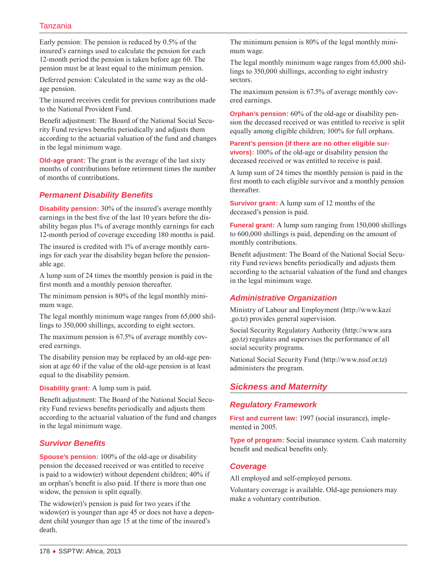# Tanzania

Early pension: The pension is reduced by 0.5% of the insured's earnings used to calculate the pension for each 12-month period the pension is taken before age 60. The pension must be at least equal to the minimum pension.

Deferred pension: Calculated in the same way as the oldage pension.

The insured receives credit for previous contributions made to the National Provident Fund.

Benefit adjustment: The Board of the National Social Security Fund reviews benefits periodically and adjusts them according to the actuarial valuation of the fund and changes in the legal minimum wage.

**Old-age grant:** The grant is the average of the last sixty months of contributions before retirement times the number of months of contributions.

# *Permanent Disability Benefits*

**Disability pension:** 30% of the insured's average monthly earnings in the best five of the last 10 years before the disability began plus 1% of average monthly earnings for each 12-month period of coverage exceeding 180 months is paid.

The insured is credited with 1% of average monthly earnings for each year the disability began before the pensionable age.

A lump sum of 24 times the monthly pension is paid in the first month and a monthly pension thereafter.

The minimum pension is 80% of the legal monthly minimum wage.

The legal monthly minimum wage ranges from 65,000 shillings to 350,000 shillings, according to eight sectors.

The maximum pension is 67.5% of average monthly covered earnings.

The disability pension may be replaced by an old-age pension at age 60 if the value of the old-age pension is at least equal to the disability pension.

**Disability grant:** A lump sum is paid.

Benefit adjustment: The Board of the National Social Security Fund reviews benefits periodically and adjusts them according to the actuarial valuation of the fund and changes in the legal minimum wage.

# *Survivor Benefits*

**Spouse's pension:** 100% of the old-age or disability pension the deceased received or was entitled to receive is paid to a widow(er) without dependent children; 40% if an orphan's benefit is also paid. If there is more than one widow, the pension is split equally.

The widow(er)'s pension is paid for two years if the widow(er) is younger than age 45 or does not have a dependent child younger than age 15 at the time of the insured's death.

The minimum pension is 80% of the legal monthly minimum wage.

The legal monthly minimum wage ranges from 65,000 shillings to 350,000 shillings, according to eight industry sectors.

The maximum pension is 67.5% of average monthly covered earnings.

**Orphan's pension:** 60% of the old-age or disability pension the deceased received or was entitled to receive is split equally among eligible children; 100% for full orphans.

**Parent's pension (if there are no other eligible survivors):** 100% of the old-age or disability pension the deceased received or was entitled to receive is paid.

A lump sum of 24 times the monthly pension is paid in the first month to each eligible survivor and a monthly pension thereafter.

**Survivor grant:** A lump sum of 12 months of the deceased's pension is paid.

**Funeral grant:** A lump sum ranging from 150,000 shillings to 600,000 shillings is paid, depending on the amount of monthly contributions.

Benefit adjustment: The Board of the National Social Security Fund reviews benefits periodically and adjusts them according to the actuarial valuation of the fund and changes in the legal minimum wage.

# *Administrative Organization*

Ministry of Labour and Employment ([http://www.kazi](http://www.kazi.go.tz) [.go.tz](http://www.kazi.go.tz)) provides general supervision.

Social Security Regulatory Authority ([http://www.ssra](http://www.ssra.go.tz) [.go.tz](http://www.ssra.go.tz)) regulates and supervises the performance of all social security programs.

National Social Security Fund [\(http://www.nssf.or.tz\)](http://www.nssf.or.tz) administers the program.

# *Sickness and Maternity*

## *Regulatory Framework*

First and current law: 1997 (social insurance), implemented in 2005.

**Type of program:** Social insurance system. Cash maternity benefit and medical benefits only.

## *Coverage*

All employed and self-employed persons.

Voluntary coverage is available. Old-age pensioners may make a voluntary contribution.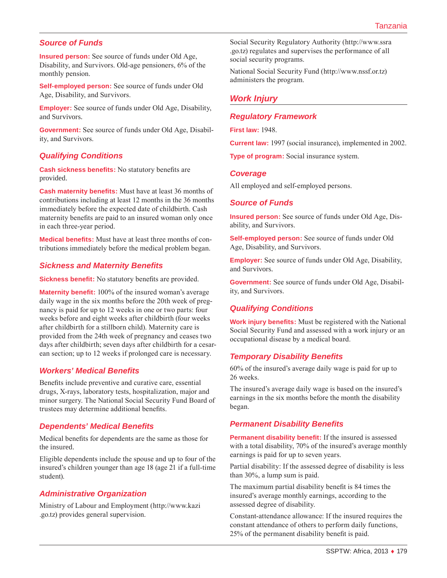# *Source of Funds*

**Insured person:** See source of funds under Old Age, Disability, and Survivors. Old-age pensioners, 6% of the monthly pension.

**Self-employed person:** See source of funds under Old Age, Disability, and Survivors.

**Employer:** See source of funds under Old Age, Disability, and Survivors.

**Government:** See source of funds under Old Age, Disability, and Survivors.

## *Qualifying Conditions*

**Cash sickness benefits:** No statutory benefits are provided.

**Cash maternity benefits:** Must have at least 36 months of contributions including at least 12 months in the 36 months immediately before the expected date of childbirth. Cash maternity benefits are paid to an insured woman only once in each three-year period.

**Medical benefits:** Must have at least three months of contributions immediately before the medical problem began.

#### *Sickness and Maternity Benefits*

**Sickness benefit:** No statutory benefits are provided.

**Maternity benefit:** 100% of the insured woman's average daily wage in the six months before the 20th week of pregnancy is paid for up to 12 weeks in one or two parts: four weeks before and eight weeks after childbirth (four weeks after childbirth for a stillborn child). Maternity care is provided from the 24th week of pregnancy and ceases two days after childbirth; seven days after childbirth for a cesarean section; up to 12 weeks if prolonged care is necessary.

#### *Workers' Medical Benefits*

Benefits include preventive and curative care, essential drugs, X-rays, laboratory tests, hospitalization, major and minor surgery. The National Social Security Fund Board of trustees may determine additional benefits.

#### *Dependents' Medical Benefits*

Medical benefits for dependents are the same as those for the insured.

Eligible dependents include the spouse and up to four of the insured's children younger than age 18 (age 21 if a full-time student).

#### *Administrative Organization*

Ministry of Labour and Employment ([http://www.kazi](http://www.kazi.go.tz) [.go.tz](http://www.kazi.go.tz)) provides general supervision.

Social Security Regulatory Authority ([http://www.ssra](http://www.ssra.go.tz) [.go.tz](http://www.ssra.go.tz)) regulates and supervises the performance of all social security programs.

National Social Security Fund [\(http://www.nssf.or.tz\)](http://www.nssf.or.tz) administers the program.

# *Work Injury*

### *Regulatory Framework*

**First law:** 1948.

**Current law:** 1997 (social insurance), implemented in 2002.

**Type of program:** Social insurance system.

#### *Coverage*

All employed and self-employed persons.

#### *Source of Funds*

**Insured person:** See source of funds under Old Age, Disability, and Survivors.

**Self-employed person:** See source of funds under Old Age, Disability, and Survivors.

**Employer:** See source of funds under Old Age, Disability, and Survivors.

**Government:** See source of funds under Old Age, Disability, and Survivors.

## *Qualifying Conditions*

**Work injury benefits:** Must be registered with the National Social Security Fund and assessed with a work injury or an occupational disease by a medical board.

#### *Temporary Disability Benefits*

60% of the insured's average daily wage is paid for up to 26 weeks.

The insured's average daily wage is based on the insured's earnings in the six months before the month the disability began.

#### *Permanent Disability Benefits*

**Permanent disability benefit:** If the insured is assessed with a total disability, 70% of the insured's average monthly earnings is paid for up to seven years.

Partial disability: If the assessed degree of disability is less than 30%, a lump sum is paid.

The maximum partial disability benefit is 84 times the insured's average monthly earnings, according to the assessed degree of disability.

Constant-attendance allowance: If the insured requires the constant attendance of others to perform daily functions, 25% of the permanent disability benefit is paid.